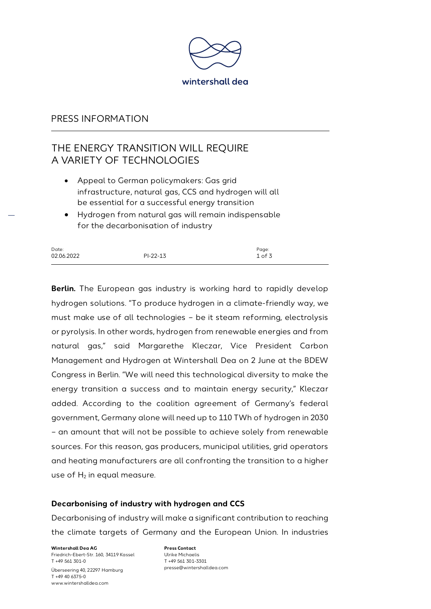

## PRESS INFORMATION

# THE ENERGY TRANSITION WILL REQUIRE A VARIETY OF TECHNOLOGIES

- Appeal to German policymakers: Gas grid infrastructure, natural gas, CCS and hydrogen will all be essential for a successful energy transition
- Hydrogen from natural gas will remain indispensable for the decarbonisation of industry

| Date:      |            | Page:  |
|------------|------------|--------|
| 02.06.2022 | $PI-22-13$ | 1 of 3 |

**Berlin.** The European gas industry is working hard to rapidly develop hydrogen solutions. "To produce hydrogen in a climate-friendly way, we must make use of all technologies – be it steam reforming, electrolysis or pyrolysis. In other words, hydrogen from renewable energies and from natural gas," said Margarethe Kleczar, Vice President Carbon Management and Hydrogen at Wintershall Dea on 2 June at the BDEW Congress in Berlin. "We will need this technological diversity to make the energy transition a success and to maintain energy security," Kleczar added. According to the coalition agreement of Germany's federal government, Germany alone will need up to 110 TWh of hydrogen in 2030 – an amount that will not be possible to achieve solely from renewable sources. For this reason, gas producers, municipal utilities, grid operators and heating manufacturers are all confronting the transition to a higher use of  $H_2$  in equal measure.

#### **Decarbonising of industry with hydrogen and CCS**

Decarbonising of industry will make a significant contribution to reaching the climate targets of Germany and the European Union. In industries

**Wintershall Dea AG** Friedrich-Ebert-Str. 160, 34119 Kassel T +49 561 301-0 Überseering 40, 22297 Hamburg T +49 40 6375-0 www.wintershalldea.com

**Press Contact** Ulrike Michaelis T +49 561 301-3301 presse@wintershalldea.com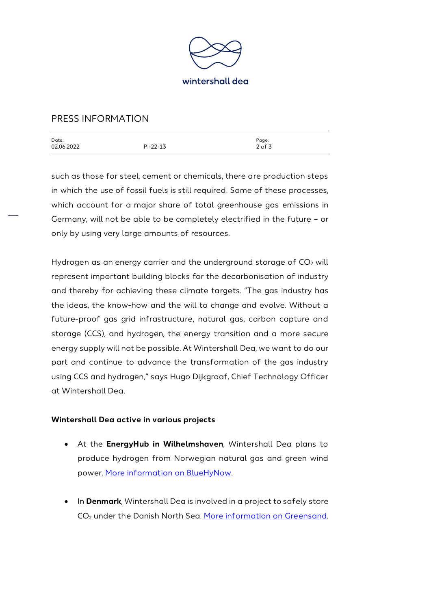

# PRESS INFORMATION

| Date:      |            | Page:      |
|------------|------------|------------|
| 02.06.2022 | $PI-22-13$ | $2$ of $3$ |
|            |            |            |

such as those for steel, cement or chemicals, there are production steps in which the use of fossil fuels is still required. Some of these processes, which account for a major share of total greenhouse gas emissions in Germany, will not be able to be completely electrified in the future – or only by using very large amounts of resources.

Hydrogen as an energy carrier and the underground storage of  $CO<sub>2</sub>$  will represent important building blocks for the decarbonisation of industry and thereby for achieving these climate targets. "The gas industry has the ideas, the know-how and the will to change and evolve. Without a future-proof gas grid infrastructure, natural gas, carbon capture and storage (CCS), and hydrogen, the energy transition and a more secure energy supply will not be possible. At Wintershall Dea, we want to do our part and continue to advance the transformation of the gas industry using CCS and hydrogen," says Hugo Dijkgraaf, Chief Technology Officer at Wintershall Dea.

#### **Wintershall Dea active in various projects**

- At the **EnergyHub in Wilhelmshaven**, Wintershall Dea plans to produce hydrogen from Norwegian natural gas and green wind power. [More information on BlueHyNow.](https://wintershalldea.com/en/newsroom/wintershall-dea-helps-shape-wilhelmshaven-energy-hub)
- In **Denmark**, Wintershall Dea is involved in a project to safely store CO<sub>2</sub> under the Danish North Sea. [More information on Greensand.](https://wintershalldea.com/en/newsroom/project-greensand-receives-eu26-million-funding-award-offshore-ccs-danish-north-sea)